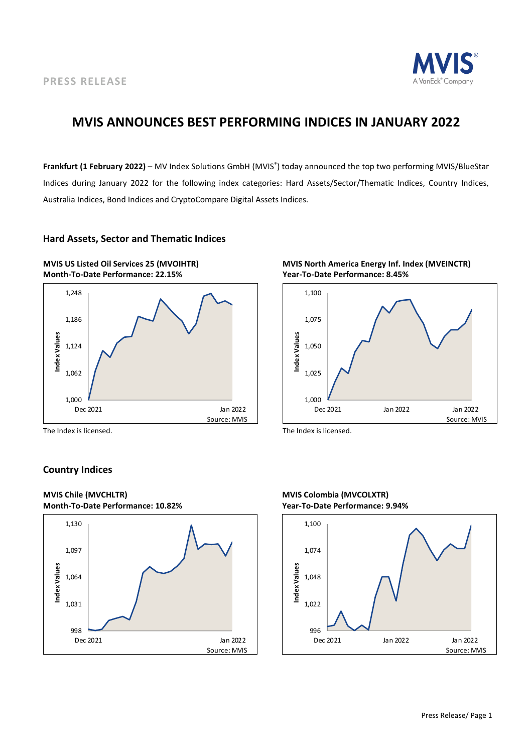

## **MVIS ANNOUNCES BEST PERFORMING INDICES IN JANUARY 2022**

**Frankfurt (1 February 2022)** – MV Index Solutions GmbH (MVIS® ) today announced the top two performing MVIS/BlueStar Indices during January 2022 for the following index categories: Hard Assets/Sector/Thematic Indices, Country Indices, Australia Indices, Bond Indices and CryptoCompare Digital Assets Indices.

## **Hard Assets, Sector and Thematic Indices**



The Index is licensed. The Index is licensed.

## **Country Indices**





1,025 1,050 1,075 1,100 **Index Values**

Dec 2021 Jan 2022 Jan 2022

Source: MVIS



1,000 L<br>Dec 2021

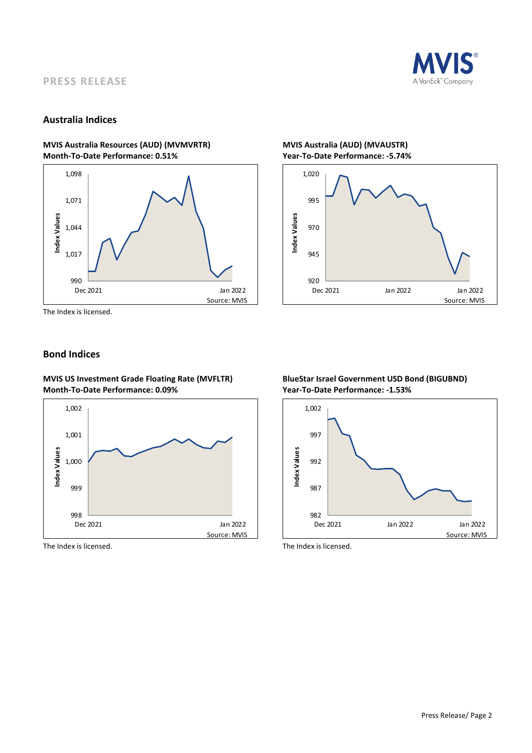

## **PRESS RELEASE**

## **Australia Indices**

## **MVIS Australia Resources (AUD) (MVMVRTR) MVIS Australia (AUD) (MVAUSTR) Month-To-Date Performance: 0.51% Year-To-Date Performance: -5.74%**



The Index is licensed.

## **Bond Indices**

**MVIS US Investment Grade Floating Rate (MVFLTR) BlueStar Israel Government USD Bond (BIGUBND) Month-To-Date Performance: 0.09% Year-To-Date Performance: -1.53%**



The Index is licensed. The Index is licensed.